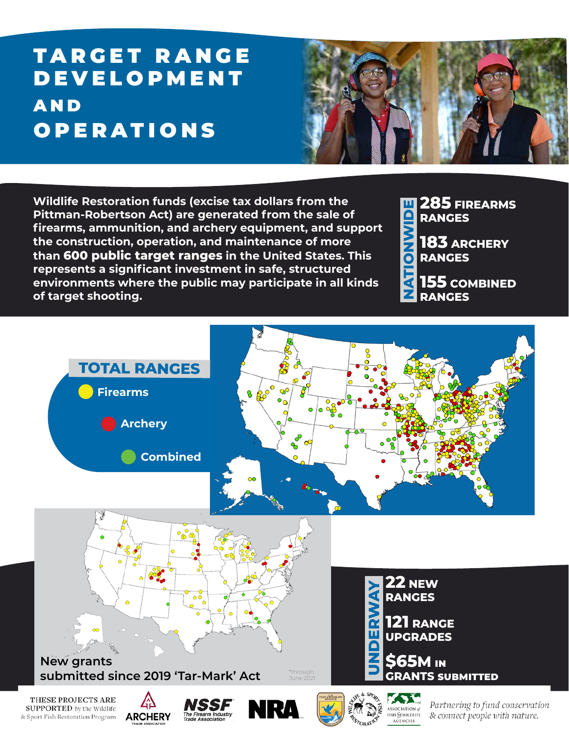# **TARGET RANGE** DEVELOPMENT A N D **OPERATIONS**



**Wildlife Restoration funds (excise tax dollars from the Pittman-Robertson Act) are generated from the sale of firearms, ammunition, and archery equipment, and support the construction, operation, and maintenance of more than 600 public target ranges in the United States. This represents a significant investment in safe, structured environments where the public may participate in all kinds of target shooting.**

**285 FIREARMS NATIONWIDE** QIN **RANGES** MN<br>O

**183 ARCHERY RANGES**

**155 COMBINED RANGES**

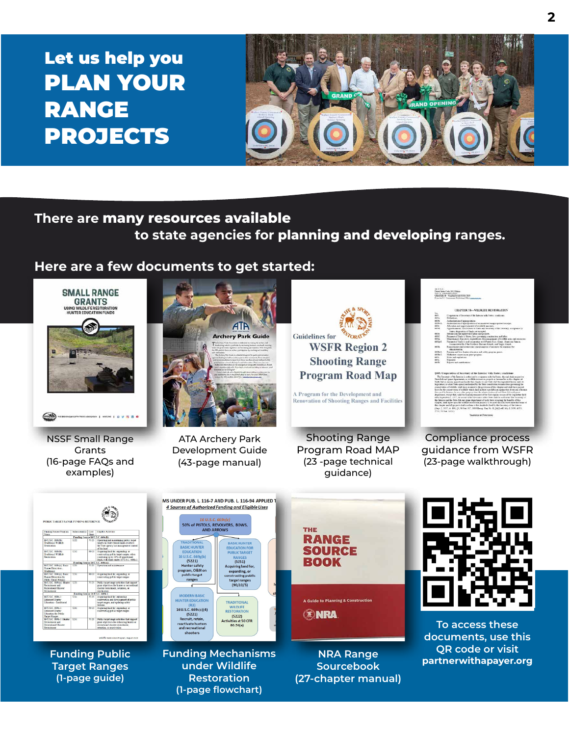# Let us help you PLAN YOUR RANGE PROJECTS



## **There are many resources available to state agencies for planning and developing ranges.**

#### **Here are a few documents to get started:**



**(1-page flowchart)**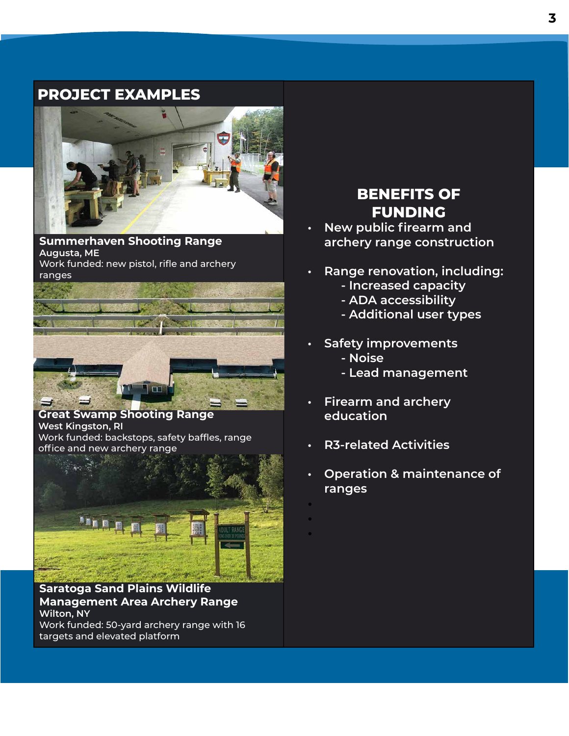#### **PROJECT EXAMPLES**



**Summerhaven Shooting Range Augusta, ME** Work funded: new pistol, rifle and archery ranges



**Great Swamp Shooting Range West Kingston, RI** Work funded: backstops, safety baffles, range office and new archery range



**Saratoga Sand Plains Wildlife Management Area Archery Range Wilton, NY** Work funded: 50-yard archery range with 16 targets and elevated platform

## **BENEFITS OF FUNDING**

- **• New public firearm and archery range construction**
- **• Range renovation, including:**
	- **Increased capacity**
	- **ADA accessibility**
	- **Additional user types**
- **• Safety improvements - Noise**
	- **Lead management**
- **• Firearm and archery education**
- **• R3-related Activities**

• • •

**• Operation & maintenance of ranges**